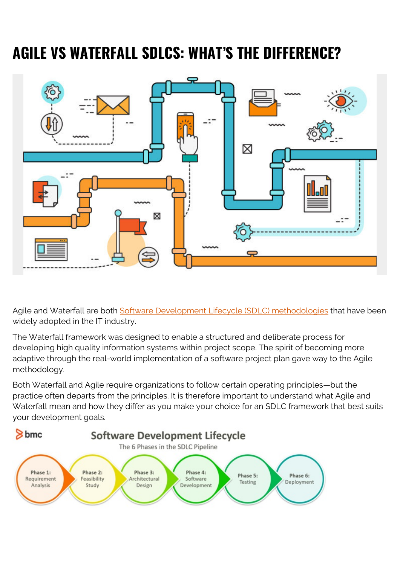# **AGILE VS WATERFALL SDLCS: WHAT'S THE DIFFERENCE?**



Agile and Waterfall are both [Software Development Lifecycle \(SDLC\) methodologies](https://blogs.bmc.com/blogs/sdlc-software-development-lifecycle/) that have been widely adopted in the IT industry.

The Waterfall framework was designed to enable a structured and deliberate process for developing high quality information systems within project scope. The spirit of becoming more adaptive through the real-world implementation of a software project plan gave way to the Agile methodology.

Both Waterfall and Agile require organizations to follow certain operating principles—but the practice often departs from the principles. It is therefore important to understand what Agile and Waterfall mean and how they differ as you make your choice for an SDLC framework that best suits your development goals.

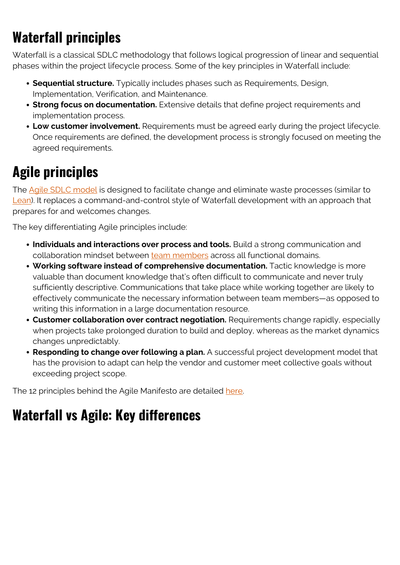## **Waterfall principles**

Waterfall is a classical SDLC methodology that follows logical progression of linear and sequential phases within the project lifecycle process. Some of the key principles in Waterfall include:

- **Sequential structure.** Typically includes phases such as Requirements, Design, Implementation, Verification, and Maintenance.
- **Strong focus on documentation.** Extensive details that define project requirements and implementation process.
- **Low customer involvement.** Requirements must be agreed early during the project lifecycle. Once requirements are defined, the development process is strongly focused on meeting the agreed requirements.

#### **Agile principles**

The [Agile SDLC model](https://blogs.bmc.com/blogs/agile-scrum-getting-started/) is designed to facilitate change and eliminate waste processes (similar to [Lean](https://blogs.bmc.com/blogs/design-thinking-vs-lean-vs-agile/)). It replaces a command-and-control style of Waterfall development with an approach that prepares for and welcomes changes.

The key differentiating Agile principles include:

- **Individuals and interactions over process and tools.** Build a strong communication and collaboration mindset between [team members](https://blogs.bmc.com/blogs/agile-roles-responsibilities/) across all functional domains.
- **Working software instead of comprehensive documentation.** Tactic knowledge is more valuable than document knowledge that's often difficult to communicate and never truly sufficiently descriptive. Communications that take place while working together are likely to effectively communicate the necessary information between team members—as opposed to writing this information in a large documentation resource.
- **Customer collaboration over contract negotiation.** Requirements change rapidly, especially when projects take prolonged duration to build and deploy, whereas as the market dynamics changes unpredictably.
- **Responding to change over following a plan.** A successful project development model that has the provision to adapt can help the vendor and customer meet collective goals without exceeding project scope.

The 12 principles behind the Agile Manifesto are detailed [here](https://agilemanifesto.org/principles.html).

#### **Waterfall vs Agile: Key differences**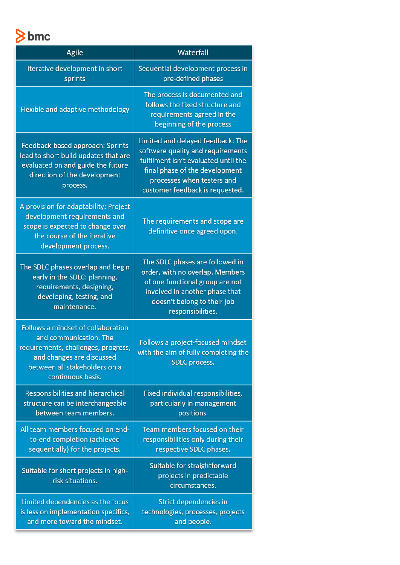bmc

| Agile                                                                                                                                                                                  | Waterfall                                                                                                                                                                                                         |
|----------------------------------------------------------------------------------------------------------------------------------------------------------------------------------------|-------------------------------------------------------------------------------------------------------------------------------------------------------------------------------------------------------------------|
| Iterative development in short<br>sprints                                                                                                                                              | Sequential development process in<br>pre-defined phases                                                                                                                                                           |
| Flexible and adaptive methodology                                                                                                                                                      | The process is documented and<br>follows the fixed structure and<br>requirements agreed in the<br>beginning of the process                                                                                        |
| Feedback-based approach: Sprints<br>lead to short build updates that are<br>evaluated on and guide the future<br>direction of the development<br>process.                              | Limited and delayed feedback: The<br>software quality and requirements<br>fulfilment isn't evaluated until the<br>final phase of the development<br>processes when testers and<br>customer feedback is requested. |
| A provision for adaptability: Project<br>development requirements and<br>scope is expected to change over<br>the course of the iterative<br>development process.                       | The requirements and scope are<br>definitive once agreed upon.                                                                                                                                                    |
| The SDLC phases overlap and begin<br>early in the SDLC: planning,<br>requirements, designing,<br>developing, testing, and<br>maintenance.                                              | The SDLC phases are followed in<br>order, with no overlap. Members<br>of one functional group are not<br>involved in another phase that<br>doesn't belong to their job<br>responsibilities.                       |
| Follows a mindset of collaboration<br>and communication. The<br>requirements, challenges, progress,<br>and changes are discussed<br>between all stakeholders on a<br>continuous basis. | Follows a project-focused mindset<br>with the aim of fully completing the<br>SDLC process.                                                                                                                        |
| Responsibilities and hierarchical<br>structure can be interchangeable<br>between team members.                                                                                         | Fixed individual responsibilities,<br>particularly in management<br>positions.                                                                                                                                    |
| All team members focused on end-<br>to-end completion (achieved<br>sequentially) for the projects.                                                                                     | Team members focused on their<br>responsibilities only during their<br>respective SDLC phases.                                                                                                                    |
| Suitable for short projects in high-<br>risk situations.                                                                                                                               | Suitable for straightforward<br>projects in predictable<br>circumstances.                                                                                                                                         |
| Limited dependencies as the focus<br>is less on implementation specifics,<br>and more toward the mindset.                                                                              | Strict dependencies in<br>technologies, processes, projects<br>and people.                                                                                                                                        |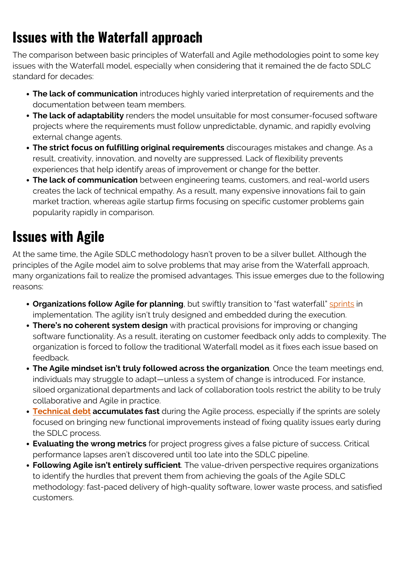#### **Issues with the Waterfall approach**

The comparison between basic principles of Waterfall and Agile methodologies point to some key issues with the Waterfall model, especially when considering that it remained the de facto SDLC standard for decades:

- **The lack of communication** introduces highly varied interpretation of requirements and the documentation between team members.
- **The lack of adaptability** renders the model unsuitable for most consumer-focused software projects where the requirements must follow unpredictable, dynamic, and rapidly evolving external change agents.
- **The strict focus on fulfilling original requirements** discourages mistakes and change. As a result, creativity, innovation, and novelty are suppressed. Lack of flexibility prevents experiences that help identify areas of improvement or change for the better.
- **The lack of communication** between engineering teams, customers, and real-world users creates the lack of technical empathy. As a result, many expensive innovations fail to gain market traction, whereas agile startup firms focusing on specific customer problems gain popularity rapidly in comparison.

#### **Issues with Agile**

At the same time, the Agile SDLC methodology hasn't proven to be a silver bullet. Although the principles of the Agile model aim to solve problems that may arise from the Waterfall approach, many organizations fail to realize the promised advantages. This issue emerges due to the following reasons:

- **Organizations follow Agile for planning**, but swiftly transition to "fast waterfall" **sprints** in implementation. The agility isn't truly designed and embedded during the execution.
- **There's no coherent system design** with practical provisions for improving or changing software functionality. As a result, iterating on customer feedback only adds to complexity. The organization is forced to follow the traditional Waterfall model as it fixes each issue based on feedback.
- **The Agile mindset isn't truly followed across the organization**. Once the team meetings end, individuals may struggle to adapt—unless a system of change is introduced. For instance, siloed organizational departments and lack of collaboration tools restrict the ability to be truly collaborative and Agile in practice.
- **[Technical debt](https://blogs.bmc.com/blogs/technical-debt-explained-the-complete-guide-to-understanding-and-dealing-with-technical-debt/) accumulates fast** during the Agile process, especially if the sprints are solely focused on bringing new functional improvements instead of fixing quality issues early during the SDLC process.
- **Evaluating the wrong metrics** for project progress gives a false picture of success. Critical performance lapses aren't discovered until too late into the SDLC pipeline.
- **Following Agile isn't entirely sufficient**. The value-driven perspective requires organizations to identify the hurdles that prevent them from achieving the goals of the Agile SDLC methodology: fast-paced delivery of high-quality software, lower waste process, and satisfied customers.